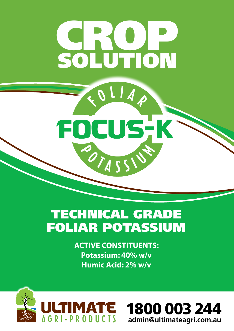# CROP SOLUTION

 $\boldsymbol{\mathcal{A}}$ 

OCUS, K

# TECHNICAL GRADE FOLIAR POTASSIUM

POTAS

**ACTIVE CONSTITUENTS: Potassium: 40% w/v Humic Acid: 2% w/v**



F

1800 003 244 **admin@ultimateagri.com.au**